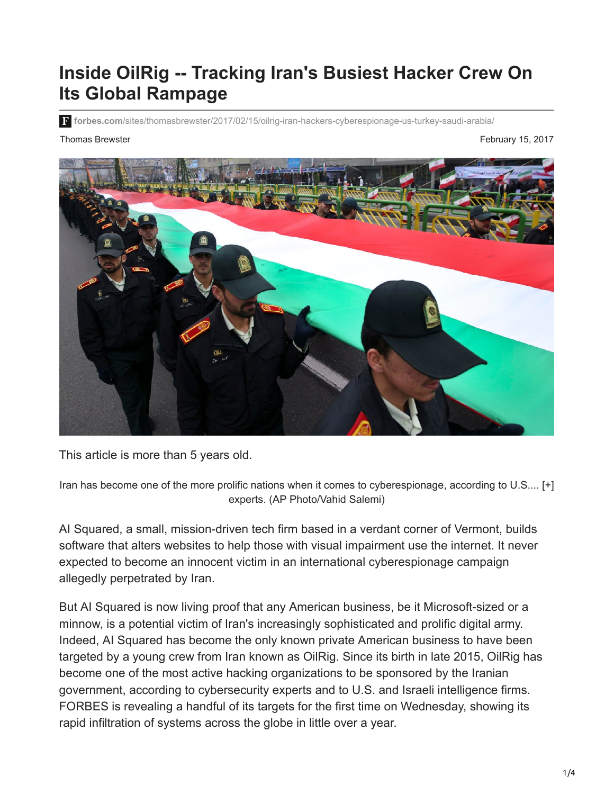# **Inside OilRig -- Tracking Iran's Busiest Hacker Crew On Its Global Rampage**

**forbes.com**[/sites/thomasbrewster/2017/02/15/oilrig-iran-hackers-cyberespionage-us-turkey-saudi-arabia/](https://www.forbes.com/sites/thomasbrewster/2017/02/15/oilrig-iran-hackers-cyberespionage-us-turkey-saudi-arabia/#56749aa2468a)

Thomas Brewster February 15, 2017



This article is more than 5 years old.

Iran has become one of the more prolific nations when it comes to cyberespionage, according to U.S.... [+] experts. (AP Photo/Vahid Salemi)

AI Squared, a small, mission-driven tech firm based in a verdant corner of Vermont, builds software that alters websites to help those with visual impairment use the internet. It never expected to become an innocent victim in an international cyberespionage campaign allegedly perpetrated by Iran.

But AI Squared is now living proof that any American business, be it Microsoft-sized or a minnow, is a potential victim of Iran's increasingly sophisticated and prolific digital army. Indeed, AI Squared has become the only known private American business to have been targeted by a young crew from Iran known as OilRig. Since its birth in late 2015, OilRig has become one of the most active hacking organizations to be sponsored by the Iranian government, according to cybersecurity experts and to U.S. and Israeli intelligence firms. FORBES is revealing a handful of its targets for the first time on Wednesday, showing its rapid infiltration of systems across the globe in little over a year.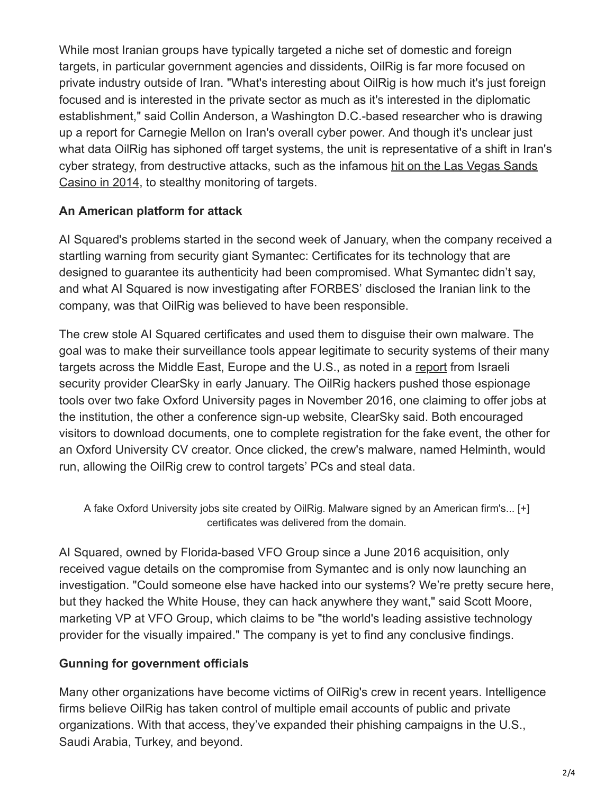While most Iranian groups have typically targeted a niche set of domestic and foreign targets, in particular government agencies and dissidents, OilRig is far more focused on private industry outside of Iran. "What's interesting about OilRig is how much it's just foreign focused and is interested in the private sector as much as it's interested in the diplomatic establishment," said Collin Anderson, a Washington D.C.-based researcher who is drawing up a report for Carnegie Mellon on Iran's overall cyber power. And though it's unclear just what data OilRig has siphoned off target systems, the unit is representative of a shift in Iran's [cyber strategy, from destructive attacks, such as the infamous hit on the Las Vegas Sands](https://www.bloomberg.com/news/articles/2014-12-11/iranian-hackers-hit-sheldon-adelsons-sands-casino-in-las-vegas) Casino in 2014, to stealthy monitoring of targets.

# **An American platform for attack**

AI Squared's problems started in the second week of January, when the company received a startling warning from security giant Symantec: Certificates for its technology that are designed to guarantee its authenticity had been compromised. What Symantec didn't say, and what AI Squared is now investigating after FORBES' disclosed the Iranian link to the company, was that OilRig was believed to have been responsible.

The crew stole AI Squared certificates and used them to disguise their own malware. The goal was to make their surveillance tools appear legitimate to security systems of their many targets across the Middle East, Europe and the U.S., as noted in a [report](http://www.clearskysec.com/oilrig/) from Israeli security provider ClearSky in early January. The OilRig hackers pushed those espionage tools over two fake Oxford University pages in November 2016, one claiming to offer jobs at the institution, the other a conference sign-up website, ClearSky said. Both encouraged visitors to download documents, one to complete registration for the fake event, the other for an Oxford University CV creator. Once clicked, the crew's malware, named Helminth, would run, allowing the OilRig crew to control targets' PCs and steal data.

A fake Oxford University jobs site created by OilRig. Malware signed by an American firm's... [+] certificates was delivered from the domain.

AI Squared, owned by Florida-based VFO Group since a June 2016 acquisition, only received vague details on the compromise from Symantec and is only now launching an investigation. "Could someone else have hacked into our systems? We're pretty secure here, but they hacked the White House, they can hack anywhere they want," said Scott Moore, marketing VP at VFO Group, which claims to be "the world's leading assistive technology provider for the visually impaired." The company is yet to find any conclusive findings.

### **Gunning for government officials**

Many other organizations have become victims of OilRig's crew in recent years. Intelligence firms believe OilRig has taken control of multiple email accounts of public and private organizations. With that access, they've expanded their phishing campaigns in the U.S., Saudi Arabia, Turkey, and beyond.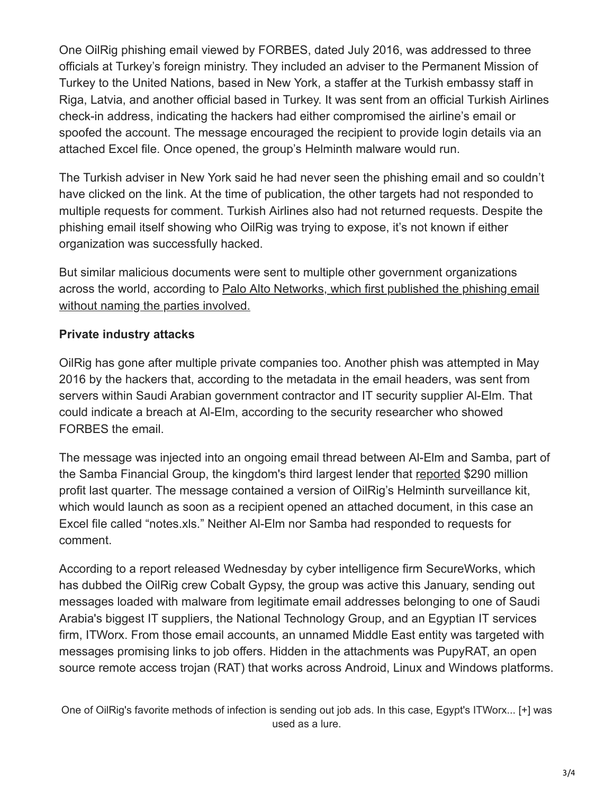One OilRig phishing email viewed by FORBES, dated July 2016, was addressed to three officials at Turkey's foreign ministry. They included an adviser to the Permanent Mission of Turkey to the United Nations, based in New York, a staffer at the Turkish embassy staff in Riga, Latvia, and another official based in Turkey. It was sent from an official Turkish Airlines check-in address, indicating the hackers had either compromised the airline's email or spoofed the account. The message encouraged the recipient to provide login details via an attached Excel file. Once opened, the group's Helminth malware would run.

The Turkish adviser in New York said he had never seen the phishing email and so couldn't have clicked on the link. At the time of publication, the other targets had not responded to multiple requests for comment. Turkish Airlines also had not returned requests. Despite the phishing email itself showing who OilRig was trying to expose, it's not known if either organization was successfully hacked.

But similar malicious documents were sent to multiple other government organizations [across the world, according to Palo Alto Networks, which first published the phishing email](http://researchcenter.paloaltonetworks.com/2016/10/unit42-oilrig-malware-campaign-updates-toolset-and-expands-targets/) without naming the parties involved.

# **Private industry attacks**

OilRig has gone after multiple private companies too. Another phish was attempted in May 2016 by the hackers that, according to the metadata in the email headers, was sent from servers within Saudi Arabian government contractor and IT security supplier Al-Elm. That could indicate a breach at Al-Elm, according to the security researcher who showed FORBES the email.

The message was injected into an ongoing email thread between Al-Elm and Samba, part of the Samba Financial Group, the kingdom's third largest lender that [reported](http://in.reuters.com/article/samba-financial-results-idIND5N1E902N) \$290 million profit last quarter. The message contained a version of OilRig's Helminth surveillance kit, which would launch as soon as a recipient opened an attached document, in this case an Excel file called "notes.xls." Neither Al-Elm nor Samba had responded to requests for comment.

According to a report released Wednesday by cyber intelligence firm SecureWorks, which has dubbed the OilRig crew Cobalt Gypsy, the group was active this January, sending out messages loaded with malware from legitimate email addresses belonging to one of Saudi Arabia's biggest IT suppliers, the National Technology Group, and an Egyptian IT services firm, ITWorx. From those email accounts, an unnamed Middle East entity was targeted with messages promising links to job offers. Hidden in the attachments was PupyRAT, an open source remote access trojan (RAT) that works across Android, Linux and Windows platforms.

One of OilRig's favorite methods of infection is sending out job ads. In this case, Egypt's ITWorx... [+] was used as a lure.